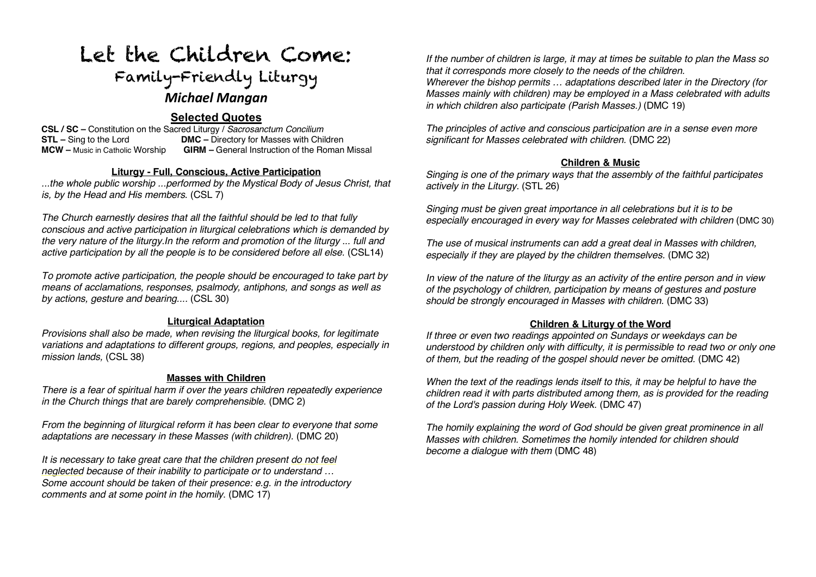# Let the Children Come: Family-Friendly Liturgy *Michael Mangan*

# **Selected Quotes**

**CSL / SC –** Constitution on the Sacred Liturgy / *Sacrosanctum Concilium* **STL** – Sing to the Lord **DMC** – Directory for Masses with Children **MCW** – Music in Catholic Worship **GIRM** – General Instruction of the Roman **GIRM –** General Instruction of the Roman Missal

#### **Liturgy - Full, Conscious, Active Participation**

*...the whole public worship ...performed by the Mystical Body of Jesus Christ, that is, by the Head and His members.* (CSL 7)

*The Church earnestly desires that all the faithful should be led to that fully conscious and active participation in liturgical celebrations which is demanded by the very nature of the liturgy.In the reform and promotion of the liturgy ... full and active participation by all the people is to be considered before all else.* (CSL14)

*To promote active participation, the people should be encouraged to take part by means of acclamations, responses, psalmody, antiphons, and songs as well as by actions, gesture and bearing....* (CSL 30)

## **Liturgical Adaptation**

*Provisions shall also be made, when revising the liturgical books, for legitimate variations and adaptations to different groups, regions, and peoples, especially in mission lands,* (CSL 38)

#### **Masses with Children**

*There is a fear of spiritual harm if over the years children repeatedly experience in the Church things that are barely comprehensible.* (DMC 2)

*From the beginning of liturgical reform it has been clear to everyone that some adaptations are necessary in these Masses (with children).* (DMC 20)

*It is necessary to take great care that the children present do not feel neglected because of their inability to participate or to understand … Some account should be taken of their presence: e.g. in the introductory comments and at some point in the homily*. (DMC 17)

*If the number of children is large, it may at times be suitable to plan the Mass so that it corresponds more closely to the needs of the children.* 

*Wherever the bishop permits … adaptations described later in the Directory (for Masses mainly with children) may be employed in a Mass celebrated with adults in which children also participate (Parish Masses.)* (DMC 19)

*The principles of active and conscious participation are in a sense even more significant for Masses celebrated with children.* (DMC 22)

#### **Children & Music**

*Singing is one of the primary ways that the assembly of the faithful participates actively in the Liturgy.* (STL 26)

*Singing must be given great importance in all celebrations but it is to be especially encouraged in every way for Masses celebrated with children (DMC 30)* 

*The use of musical instruments can add a great deal in Masses with children, especially if they are played by the children themselves.* (DMC 32)

*In view of the nature of the liturgy as an activity of the entire person and in view of the psychology of children, participation by means of gestures and posture should be strongly encouraged in Masses with children.* (DMC 33)

#### **Children & Liturgy of the Word**

*If three or even two readings appointed on Sundays or weekdays can be understood by children only with difficulty, it is permissible to read two or only one of them, but the reading of the gospel should never be omitted.* (DMC 42)

*When the text of the readings lends itself to this, it may be helpful to have the children read it with parts distributed among them, as is provided for the reading of the Lord's passion during Holy Week.* (DMC 47)

*The homily explaining the word of God should be given great prominence in all Masses with children. Sometimes the homily intended for children should become a dialogue with them* (DMC 48)